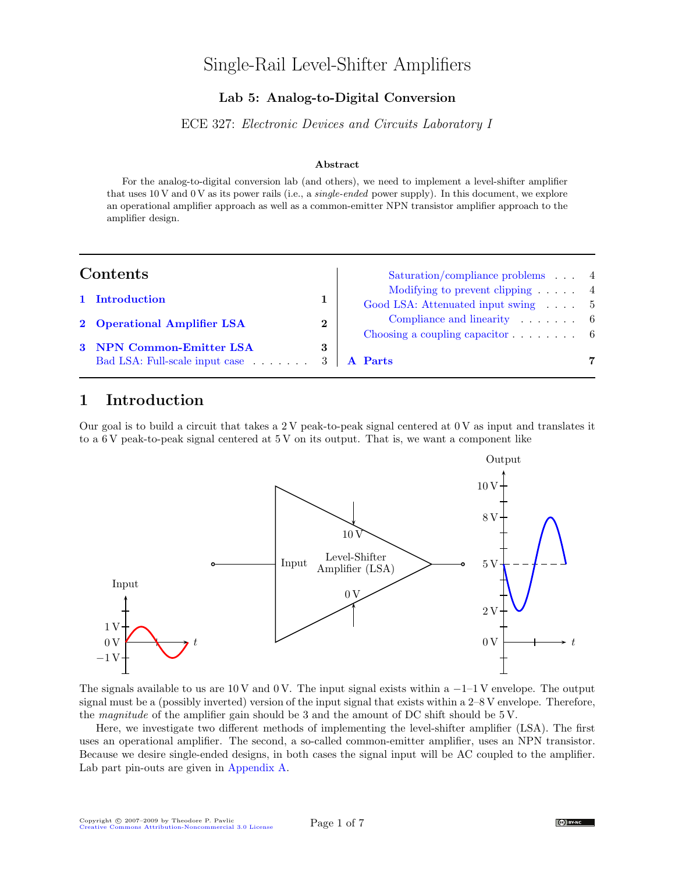# Single-Rail Level-Shifter Amplifiers

## Lab 5: Analog-to-Digital Conversion

ECE 327: Electronic Devices and Circuits Laboratory I

#### Abstract

For the analog-to-digital conversion lab (and others), we need to implement a level-shifter amplifier that uses 10 V and 0 V as its power rails (i.e., a *single-ended* power supply). In this document, we explore an operational amplifier approach as well as a common-emitter NPN transistor amplifier approach to the amplifier design.

| Contents |                                                                        |          | Saturation/compliance problems 4                                                                         |   |
|----------|------------------------------------------------------------------------|----------|----------------------------------------------------------------------------------------------------------|---|
|          | 1 Introduction                                                         |          | Modifying to prevent clipping $\ldots$ 4<br>Good LSA: Attenuated input swing 5                           |   |
|          | 2 Operational Amplifier LSA                                            | $\bf{2}$ | Compliance and linearity $\ldots$ , $\ldots$ 6<br>Choosing a coupling capacitor $\ldots \ldots \ldots$ 6 |   |
|          | 3 NPN Common-Emitter LSA<br>Bad LSA: Full-scale input case 3   A Parts | 3        |                                                                                                          | 7 |

## <span id="page-0-0"></span>1 Introduction

Our goal is to build a circuit that takes a 2 V peak-to-peak signal centered at 0 V as input and translates it to a 6 V peak-to-peak signal centered at 5 V on its output. That is, we want a component like



The signals available to us are 10 V and 0 V. The input signal exists within a  $-1$ –1 V envelope. The output signal must be a (possibly inverted) version of the input signal that exists within a 2–8 V envelope. Therefore, the magnitude of the amplifier gain should be 3 and the amount of DC shift should be 5 V.

Here, we investigate two different methods of implementing the level-shifter amplifier (LSA). The first uses an operational amplifier. The second, a so-called common-emitter amplifier, uses an NPN transistor. Because we desire single-ended designs, in both cases the signal input will be AC coupled to the amplifier. Lab part pin-outs are given in [Appendix A.](#page-6-0)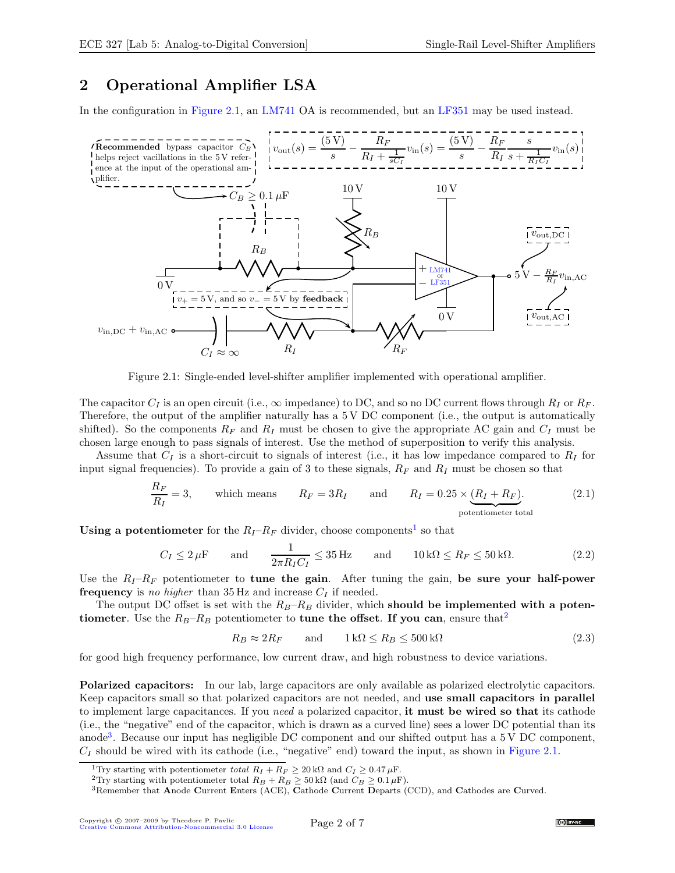# <span id="page-1-0"></span>2 Operational Amplifier LSA

In the configuration in [Figure 2.1,](#page-1-1) an [LM741](http://www.national.com/pf/LM/LM741.html) OA is recommended, but an [LF351](http://www.national.com/pf/LF/LF351.html) may be used instead.



<span id="page-1-1"></span>Figure 2.1: Single-ended level-shifter amplifier implemented with operational amplifier.

The capacitor  $C_I$  is an open circuit (i.e.,  $\infty$  impedance) to DC, and so no DC current flows through  $R_I$  or  $R_F$ . Therefore, the output of the amplifier naturally has a 5 V DC component (i.e., the output is automatically shifted). So the components  $R_F$  and  $R_I$  must be chosen to give the appropriate AC gain and  $C_I$  must be chosen large enough to pass signals of interest. Use the method of superposition to verify this analysis.

Assume that  $C_I$  is a short-circuit to signals of interest (i.e., it has low impedance compared to  $R_I$  for input signal frequencies). To provide a gain of 3 to these signals,  $R_F$  and  $R_I$  must be chosen so that

$$
\frac{R_F}{R_I} = 3, \qquad \text{which means} \qquad R_F = 3R_I \qquad \text{and} \qquad R_I = 0.25 \times \underbrace{(R_I + R_F)}_{\text{potential}}.\tag{2.1}
$$

Using a potentiometer for the  $R_I - R_F$  divider, choose components<sup>[1](#page-1-2)</sup> so that

$$
C_I \le 2 \,\mu\text{F} \qquad \text{and} \qquad \frac{1}{2\pi R_I C_I} \le 35 \,\text{Hz} \qquad \text{and} \qquad 10 \,\text{k}\Omega \le R_F \le 50 \,\text{k}\Omega. \tag{2.2}
$$

Use the  $R_I - R_F$  potentiometer to tune the gain. After tuning the gain, be sure your half-power frequency is no higher than 35 Hz and increase  $C_I$  if needed.

The output DC offset is set with the  $R_B-R_B$  divider, which should be implemented with a potentiometer. Use the  $R_B-R_B$  potentiometer to tune the offset. If you can, ensure that<sup>[2](#page-1-3)</sup>

$$
R_B \approx 2R_F \qquad \text{and} \qquad 1 \,\text{k}\Omega \le R_B \le 500 \,\text{k}\Omega \tag{2.3}
$$

for good high frequency performance, low current draw, and high robustness to device variations.

Polarized capacitors: In our lab, large capacitors are only available as polarized electrolytic capacitors. Keep capacitors small so that polarized capacitors are not needed, and use small capacitors in parallel to implement large capacitances. If you need a polarized capacitor, it must be wired so that its cathode (i.e., the "negative" end of the capacitor, which is drawn as a curved line) sees a lower DC potential than its anode<sup>[3](#page-1-4)</sup>. Because our input has negligible DC component and our shifted output has a 5 V DC component,  $C_I$  should be wired with its cathode (i.e., "negative" end) toward the input, as shown in [Figure 2.1.](#page-1-1)

<sup>&</sup>lt;sup>1</sup>Try starting with potentiometer total  $R_I + R_F \geq 20 \text{ k}\Omega$  and  $C_I \geq 0.47 \mu\text{F}$ .

<span id="page-1-2"></span><sup>&</sup>lt;sup>2</sup>Try starting with potentiometer total  $R_B + R_B \geq 50 \text{ k}\Omega$  (and  $C_B \geq 0.1 \mu\text{F}$ ).

<span id="page-1-4"></span><span id="page-1-3"></span><sup>3</sup>Remember that Anode Current Enters (ACE), Cathode Current Departs (CCD), and Cathodes are Curved.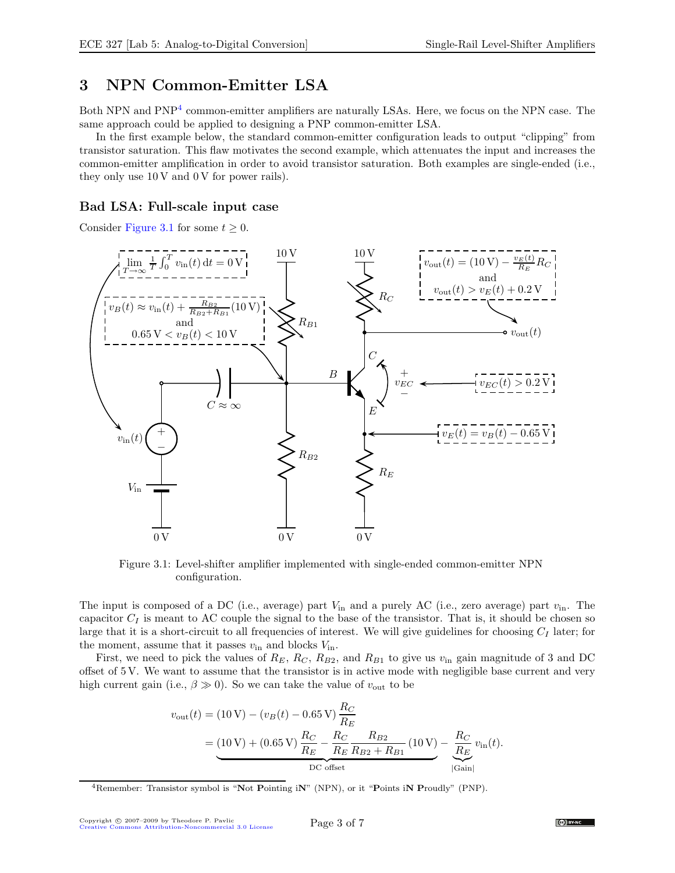## <span id="page-2-0"></span>3 NPN Common-Emitter LSA

Both NPN and PNP<sup>[4](#page-2-2)</sup> common-emitter amplifiers are naturally LSAs. Here, we focus on the NPN case. The same approach could be applied to designing a PNP common-emitter LSA.

In the first example below, the standard common-emitter configuration leads to output "clipping" from transistor saturation. This flaw motivates the second example, which attenuates the input and increases the common-emitter amplification in order to avoid transistor saturation. Both examples are single-ended (i.e., they only use  $10 \text{ V}$  and  $0 \text{ V}$  for power rails).

### <span id="page-2-1"></span>Bad LSA: Full-scale input case

Consider [Figure 3.1](#page-2-3) for some  $t \geq 0$ .



<span id="page-2-3"></span>Figure 3.1: Level-shifter amplifier implemented with single-ended common-emitter NPN configuration.

The input is composed of a DC (i.e., average) part  $V_{\text{in}}$  and a purely AC (i.e., zero average) part  $v_{\text{in}}$ . The capacitor  $C_I$  is meant to AC couple the signal to the base of the transistor. That is, it should be chosen so large that it is a short-circuit to all frequencies of interest. We will give guidelines for choosing  $C_I$  later; for the moment, assume that it passes  $v_{\text{in}}$  and blocks  $V_{\text{in}}$ .

First, we need to pick the values of  $R_E$ ,  $R_C$ ,  $R_{B2}$ , and  $R_{B1}$  to give us  $v_{\text{in}}$  gain magnitude of 3 and DC offset of 5 V. We want to assume that the transistor is in active mode with negligible base current and very high current gain (i.e.,  $\beta \gg 0$ ). So we can take the value of  $v_{\text{out}}$  to be

$$
v_{\text{out}}(t) = (10 \text{ V}) - (v_B(t) - 0.65 \text{ V}) \frac{R_C}{R_E}
$$
  
= 
$$
\underbrace{(10 \text{ V}) + (0.65 \text{ V}) \frac{R_C}{R_E} - \frac{R_C}{R_E} \frac{R_{B2}}{R_{B2} + R_{B1}} (10 \text{ V})}_{\text{DC offset}} - \underbrace{\frac{R_C}{R_E} v_{\text{in}}(t)}_{|\text{Gain}|}.
$$

<span id="page-2-2"></span><sup>&</sup>lt;sup>4</sup>Remember: Transistor symbol is "Not Pointing iN" (NPN), or it "Points iN Proudly" (PNP).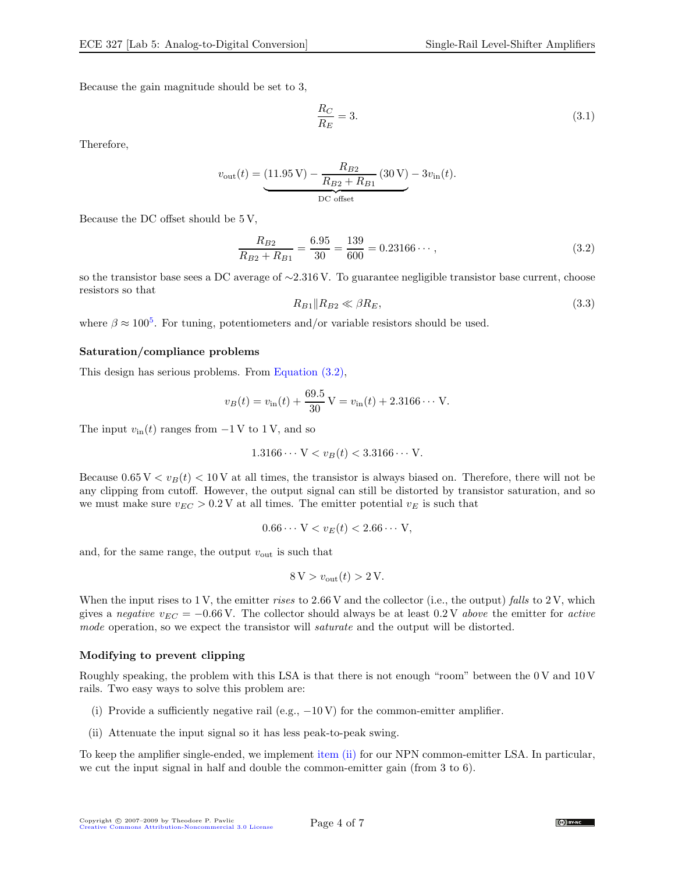Because the gain magnitude should be set to 3,

$$
\frac{R_C}{R_E} = 3.\t\t(3.1)
$$

Therefore,

$$
v_{\text{out}}(t) = \underbrace{(11.95 \text{ V}) - \frac{R_{B2}}{R_{B2} + R_{B1}} (30 \text{ V}) - 3v_{\text{in}}(t)}_{\text{DC offset}}.
$$

Because the DC offset should be 5 V,

<span id="page-3-2"></span>
$$
\frac{R_{B2}}{R_{B2} + R_{B1}} = \frac{6.95}{30} = \frac{139}{600} = 0.23166\cdots,
$$
\n(3.2)

so the transistor base sees a DC average of ∼2.316 V. To guarantee negligible transistor base current, choose resistors so that

$$
R_{B1} \| R_{B2} \ll \beta R_E,\tag{3.3}
$$

where  $\beta \approx 100^5$  $\beta \approx 100^5$ . For tuning, potentiometers and/or variable resistors should be used.

#### <span id="page-3-0"></span>Saturation/compliance problems

This design has serious problems. From [Equation \(3.2\),](#page-3-2)

$$
v_B(t) = v_{\text{in}}(t) + \frac{69.5}{30} \text{ V} = v_{\text{in}}(t) + 2.3166 \cdots \text{ V}.
$$

The input  $v_{\text{in}}(t)$  ranges from  $-1$  V to 1 V, and so

$$
1.3166\cdots V < v_B(t) < 3.3166\cdots V.
$$

Because  $0.65 V < v_B(t) < 10 V$  at all times, the transistor is always biased on. Therefore, there will not be any clipping from cutoff. However, the output signal can still be distorted by transistor saturation, and so we must make sure  $v_{EC} > 0.2$  V at all times. The emitter potential  $v_E$  is such that

$$
0.66\cdots V < v_E(t) < 2.66\cdots V,
$$

and, for the same range, the output  $v_{\text{out}}$  is such that

$$
8\,\mathrm{V} > v_{\mathrm{out}}(t) > 2\,\mathrm{V}.
$$

When the input rises to 1 V, the emitter rises to 2.66 V and the collector (i.e., the output) falls to 2 V, which gives a negative  $v_{EC} = -0.66$  V. The collector should always be at least  $0.2$  V above the emitter for active mode operation, so we expect the transistor will saturate and the output will be distorted.

#### <span id="page-3-1"></span>Modifying to prevent clipping

Roughly speaking, the problem with this LSA is that there is not enough "room" between the 0 V and 10 V rails. Two easy ways to solve this problem are:

- <span id="page-3-3"></span>(i) Provide a sufficiently negative rail (e.g.,  $-10 \text{ V}$ ) for the common-emitter amplifier.
- (ii) Attenuate the input signal so it has less peak-to-peak swing.

To keep the amplifier single-ended, we implement [item \(ii\)](#page-3-3) for our NPN common-emitter LSA. In particular, we cut the input signal in half and double the common-emitter gain (from 3 to 6).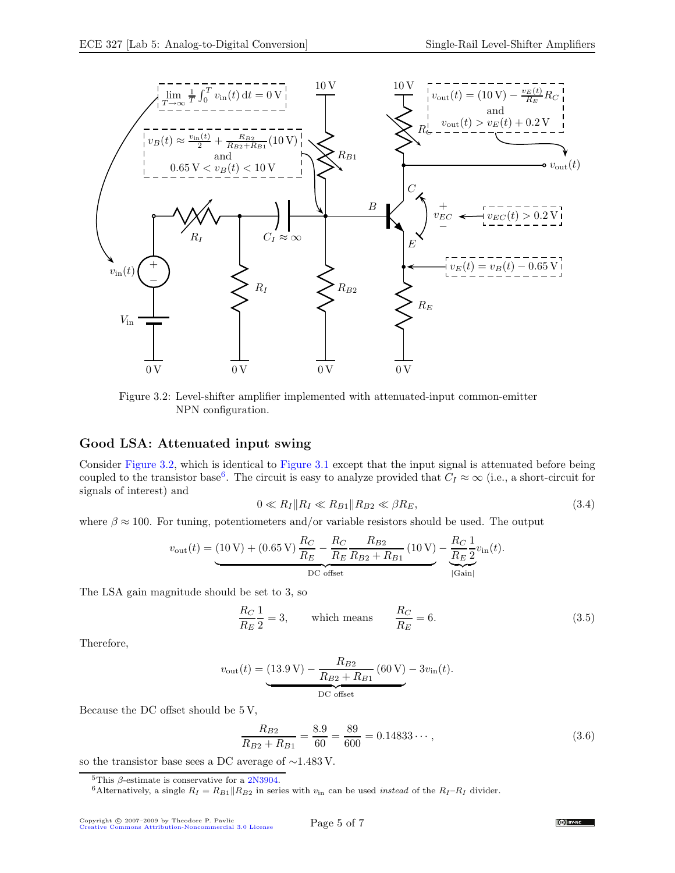

<span id="page-4-2"></span>Figure 3.2: Level-shifter amplifier implemented with attenuated-input common-emitter NPN configuration.

### <span id="page-4-0"></span>Good LSA: Attenuated input swing

Consider [Figure 3.2,](#page-4-2) which is identical to [Figure 3.1](#page-2-3) except that the input signal is attenuated before being coupled to the transistor base<sup>[6](#page-4-3)</sup>. The circuit is easy to analyze provided that  $C_I \approx \infty$  (i.e., a short-circuit for signals of interest) and

<span id="page-4-5"></span>
$$
0 \ll R_I \| R_I \ll R_{B1} \| R_{B2} \ll \beta R_E, \tag{3.4}
$$

where  $\beta \approx 100$ . For tuning, potentiometers and/or variable resistors should be used. The output

$$
v_{\text{out}}(t) = (10 \text{ V}) + (0.65 \text{ V}) \frac{R_C}{R_E} - \frac{R_C}{R_E} \frac{R_{B2}}{R_{B2} + R_{B1}} (10 \text{ V}) - \underbrace{\frac{R_C}{R_E} \frac{1}{2}}_{|\text{Gain}|} v_{\text{in}}(t).
$$

The LSA gain magnitude should be set to 3, so

$$
\frac{R_C}{R_E} \frac{1}{2} = 3, \qquad \text{which means} \qquad \frac{R_C}{R_E} = 6. \tag{3.5}
$$

Therefore,

$$
v_{\text{out}}(t) = \underbrace{(13.9 \text{ V}) - \frac{R_{B2}}{R_{B2} + R_{B1}} (60 \text{ V}) - 3v_{\text{in}}(t)}_{\text{DC offset}}.
$$

Because the DC offset should be 5 V,

<span id="page-4-4"></span>
$$
\frac{R_{B2}}{R_{B2} + R_{B1}} = \frac{8.9}{60} = \frac{89}{600} = 0.14833\dots,\tag{3.6}
$$

so the transistor base sees a DC average of ∼1.483 V.

<sup>5</sup>This  $\beta$ -estimate is conservative for a [2N3904.](http://www.fairchildsemi.com/ds/2N/2N3904.pdf)



<span id="page-4-3"></span><span id="page-4-1"></span><sup>&</sup>lt;sup>6</sup>Alternatively, a single  $R_I = R_{B1} || R_{B2}$  in series with  $v_{\text{in}}$  can be used *instead* of the  $R_I - R_I$  divider.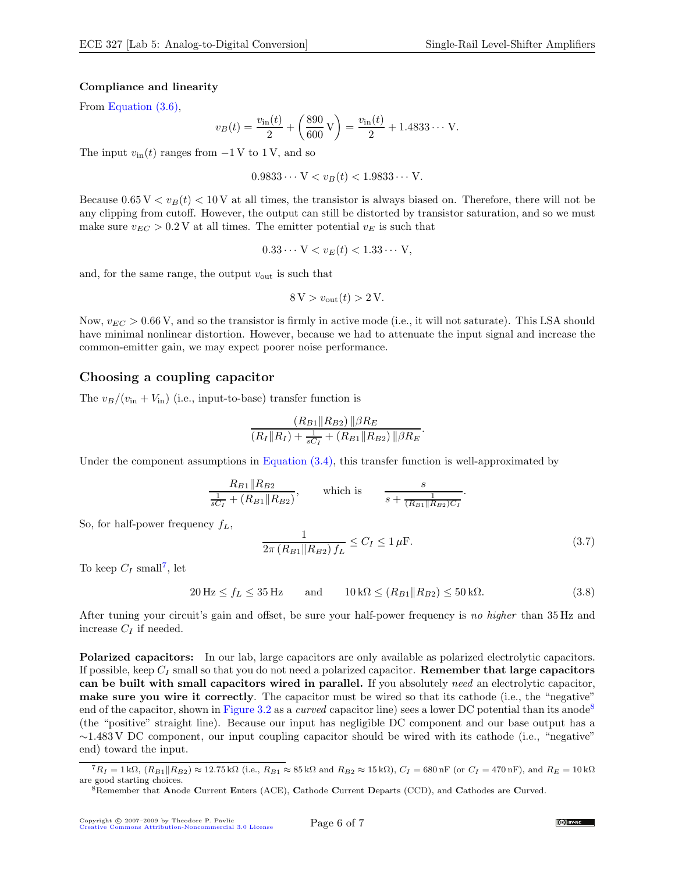#### <span id="page-5-0"></span>Compliance and linearity

From [Equation \(3.6\),](#page-4-4)

$$
v_B(t) = \frac{v_{\text{in}}(t)}{2} + \left(\frac{890}{600} \text{ V}\right) = \frac{v_{\text{in}}(t)}{2} + 1.4833 \cdots \text{ V}.
$$

The input  $v_{\text{in}}(t)$  ranges from  $-1$  V to 1 V, and so

 $0.9833 \cdots V < v_B(t) < 1.9833 \cdots V$ .

Because  $0.65 V < v_B(t) < 10 V$  at all times, the transistor is always biased on. Therefore, there will not be any clipping from cutoff. However, the output can still be distorted by transistor saturation, and so we must make sure  $v_{EC} > 0.2$  V at all times. The emitter potential  $v_E$  is such that

$$
0.33\cdots V < v_E(t) < 1.33\cdots V,
$$

and, for the same range, the output  $v_{\text{out}}$  is such that

$$
8\,\mathrm{V} > v_{\mathrm{out}}(t) > 2\,\mathrm{V}.
$$

Now,  $v_{EC} > 0.66$  V, and so the transistor is firmly in active mode (i.e., it will not saturate). This LSA should have minimal nonlinear distortion. However, because we had to attenuate the input signal and increase the common-emitter gain, we may expect poorer noise performance.

#### <span id="page-5-1"></span>Choosing a coupling capacitor

The  $v_B/(v_{\rm in} + V_{\rm in})$  (i.e., input-to-base) transfer function is

$$
\frac{(R_{B1}||R_{B2})||\beta R_E}{(R_I||R_I) + \frac{1}{sC_I} + (R_{B1}||R_{B2})||\beta R_E}.
$$

Under the component assumptions in [Equation \(3.4\),](#page-4-5) this transfer function is well-approximated by

$$
\frac{R_{B1} \| R_{B2}}{\frac{1}{sC_I} + (R_{B1} \| R_{B2})}, \quad \text{which is} \quad \frac{s}{s + \frac{1}{(R_{B1} \| R_{B2})C_I}}.
$$

So, for half-power frequency  $f_L$ ,

$$
\frac{1}{2\pi (R_{B1} || R_{B2}) f_L} \le C_I \le 1 \,\mu\text{F}.\tag{3.7}
$$

To keep  $C_I$  small<sup>[7](#page-5-2)</sup>, let

 $20 \text{ Hz} \le f_L \le 35 \text{ Hz}$  and  $10 \text{k}\Omega \le (R_{B1} || R_{B2}) \le 50 \text{k}\Omega$ . (3.8)

After tuning your circuit's gain and offset, be sure your half-power frequency is no higher than 35 Hz and increase  $C_I$  if needed.

Polarized capacitors: In our lab, large capacitors are only available as polarized electrolytic capacitors. If possible, keep  $C_I$  small so that you do not need a polarized capacitor. **Remember that large capacitors** can be built with small capacitors wired in parallel. If you absolutely need an electrolytic capacitor, make sure you wire it correctly. The capacitor must be wired so that its cathode (i.e., the "negative" end of the capacitor, shown in [Figure 3.2](#page-4-2) as a *curved* capacitor line) sees a lower DC potential than its anode<sup>[8](#page-5-3)</sup> (the "positive" straight line). Because our input has negligible DC component and our base output has a ∼1.483 V DC component, our input coupling capacitor should be wired with its cathode (i.e., "negative" end) toward the input.

 ${}^{7}R_{I} = 1 \text{ k}\Omega$ ,  $(R_{B1}||R_{B2}) \approx 12.75 \text{ k}\Omega$  (i.e.,  $R_{B1} \approx 85 \text{ k}\Omega$  and  $R_{B2} \approx 15 \text{ k}\Omega$ ),  $C_{I} = 680 \text{ nF}$  (or  $C_{I} = 470 \text{ nF}$ ), and  $R_{E} = 10 \text{ k}\Omega$ are good starting choices.

<span id="page-5-3"></span><span id="page-5-2"></span><sup>8</sup>Remember that Anode Current Enters (ACE), Cathode Current Departs (CCD), and Cathodes are Curved.